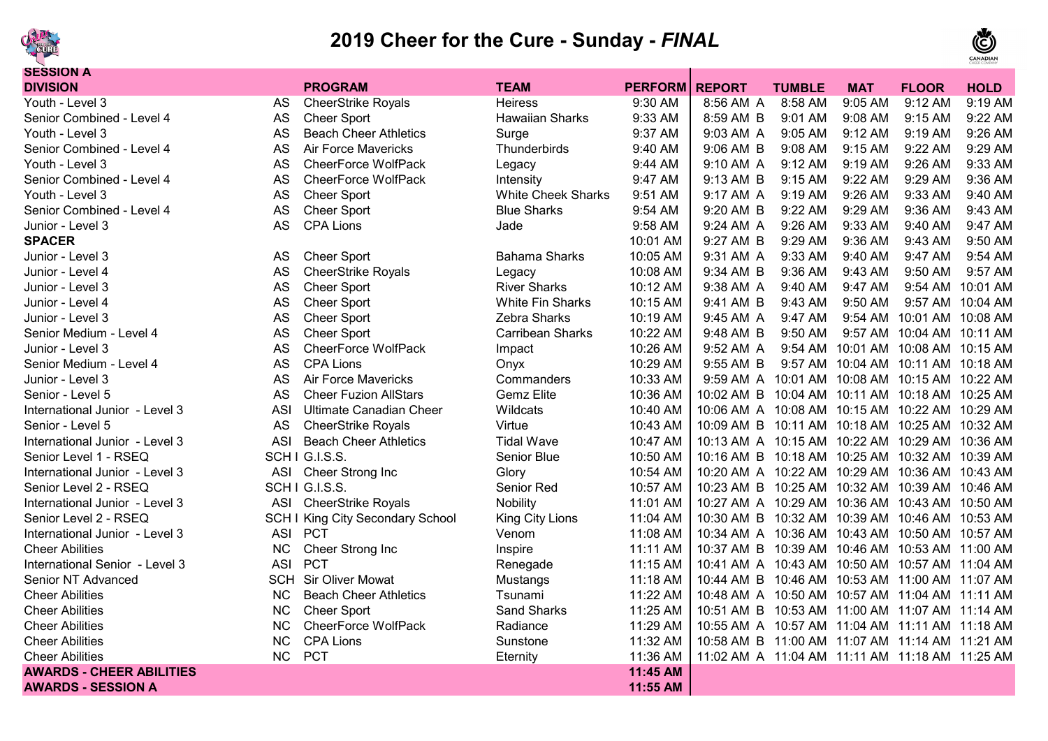

## **2019 Cheer for the Cure - Sunday -** *FINAL*



| <b>SESSION A</b>                |            |                                         |                           |                |                                                |               |                                    |                           |                  |
|---------------------------------|------------|-----------------------------------------|---------------------------|----------------|------------------------------------------------|---------------|------------------------------------|---------------------------|------------------|
| <b>DIVISION</b>                 |            | <b>PROGRAM</b>                          | <b>TEAM</b>               | <b>PERFORM</b> | <b>REPORT</b>                                  | <b>TUMBLE</b> | <b>MAT</b>                         | <b>FLOOR</b>              | <b>HOLD</b>      |
| Youth - Level 3                 | AS         | <b>CheerStrike Royals</b>               | <b>Heiress</b>            | 9:30 AM        | 8:56 AM A                                      | 8:58 AM       | 9:05 AM                            | 9:12 AM                   | 9:19 AM          |
| Senior Combined - Level 4       | AS         | <b>Cheer Sport</b>                      | <b>Hawaiian Sharks</b>    | 9:33 AM        | 8:59 AM B                                      | 9:01 AM       | 9:08 AM                            | 9:15 AM                   | 9:22 AM          |
| Youth - Level 3                 | AS         | <b>Beach Cheer Athletics</b>            | Surge                     | 9:37 AM        | 9:03 AM A                                      | 9:05 AM       | $9:12 \, \text{AM}$                | 9:19 AM                   | 9:26 AM          |
| Senior Combined - Level 4       | AS         | Air Force Mavericks                     | Thunderbirds              | 9:40 AM        | 9:06 AM B                                      | 9:08 AM       | $9:15$ AM                          | $9:22$ AM                 | 9:29 AM          |
| Youth - Level 3                 | AS         | <b>CheerForce WolfPack</b>              | Legacy                    | 9:44 AM        | 9:10 AM A                                      | 9:12 AM       | 9:19 AM                            | 9:26 AM                   | 9:33 AM          |
| Senior Combined - Level 4       | AS         | <b>CheerForce WolfPack</b>              | Intensity                 | 9:47 AM        | 9:13 AM B                                      | 9:15 AM       | 9:22 AM                            | 9:29 AM                   | 9:36 AM          |
| Youth - Level 3                 | AS         | <b>Cheer Sport</b>                      | <b>White Cheek Sharks</b> | 9:51 AM        | 9:17 AM A                                      | 9:19 AM       | 9:26 AM                            | 9:33 AM                   | 9:40 AM          |
| Senior Combined - Level 4       | AS         | <b>Cheer Sport</b>                      | <b>Blue Sharks</b>        | 9:54 AM        | 9:20 AM B                                      | 9:22 AM       | 9:29 AM                            | 9:36 AM                   | 9:43 AM          |
| Junior - Level 3                | AS         | <b>CPA Lions</b>                        | Jade                      | 9:58 AM        | 9:24 AM A                                      | 9:26 AM       | 9:33 AM                            | 9:40 AM                   | 9:47 AM          |
| <b>SPACER</b>                   |            |                                         |                           | 10:01 AM       | 9:27 AM B                                      | 9:29 AM       | 9:36 AM                            | $9:43$ AM                 | 9:50 AM          |
| Junior - Level 3                | AS         | <b>Cheer Sport</b>                      | <b>Bahama Sharks</b>      | 10:05 AM       | 9:31 AM A                                      | 9:33 AM       | 9:40 AM                            | 9:47 AM                   | 9:54 AM          |
| Junior - Level 4                | AS         | <b>CheerStrike Royals</b>               | Legacy                    | 10:08 AM       | 9:34 AM B                                      | 9:36 AM       | 9:43 AM                            | $9:50$ AM                 | 9:57 AM          |
| Junior - Level 3                | AS         | <b>Cheer Sport</b>                      | <b>River Sharks</b>       | 10:12 AM       | 9:38 AM A                                      | 9:40 AM       | 9:47 AM                            |                           | 9:54 AM 10:01 AM |
| Junior - Level 4                | AS         | <b>Cheer Sport</b>                      | <b>White Fin Sharks</b>   | 10:15 AM       | 9:41 AM B                                      | 9:43 AM       | 9:50 AM                            |                           | 9:57 AM 10:04 AM |
| Junior - Level 3                | AS         | <b>Cheer Sport</b>                      | Zebra Sharks              | 10:19 AM       | 9:45 AM A                                      | 9:47 AM       |                                    | 9:54 AM 10:01 AM 10:08 AM |                  |
| Senior Medium - Level 4         | AS         | <b>Cheer Sport</b>                      | <b>Carribean Sharks</b>   | 10:22 AM       | 9:48 AM B                                      | 9:50 AM       |                                    | 9:57 AM 10:04 AM 10:11 AM |                  |
| Junior - Level 3                | AS         | <b>CheerForce WolfPack</b>              | Impact                    | 10:26 AM       | 9:52 AM A                                      |               | 9:54 AM 10:01 AM 10:08 AM 10:15 AM |                           |                  |
| Senior Medium - Level 4         | AS         | <b>CPA Lions</b>                        | Onyx                      | 10:29 AM       | 9:55 AM B                                      |               | 9:57 AM 10:04 AM 10:11 AM 10:18 AM |                           |                  |
| Junior - Level 3                | AS         | <b>Air Force Mavericks</b>              | Commanders                | 10:33 AM       | 9:59 AM A 10:01 AM 10:08 AM 10:15 AM 10:22 AM  |               |                                    |                           |                  |
| Senior - Level 5                | AS         | <b>Cheer Fuzion AllStars</b>            | <b>Gemz Elite</b>         | 10:36 AM       | 10:02 AM B 10:04 AM 10:11 AM 10:18 AM 10:25 AM |               |                                    |                           |                  |
| International Junior - Level 3  | <b>ASI</b> | <b>Ultimate Canadian Cheer</b>          | Wildcats                  | 10:40 AM       | 10:06 AM A 10:08 AM 10:15 AM 10:22 AM 10:29 AM |               |                                    |                           |                  |
| Senior - Level 5                | AS         | <b>CheerStrike Royals</b>               | Virtue                    | 10:43 AM       | 10:09 AM B 10:11 AM 10:18 AM 10:25 AM 10:32 AM |               |                                    |                           |                  |
| International Junior - Level 3  | <b>ASI</b> | <b>Beach Cheer Athletics</b>            | <b>Tidal Wave</b>         | 10:47 AM       | 10:13 AM A 10:15 AM 10:22 AM 10:29 AM 10:36 AM |               |                                    |                           |                  |
| Senior Level 1 - RSEQ           |            | SCHIG.I.S.S.                            | Senior Blue               | 10:50 AM       | 10:16 AM B 10:18 AM 10:25 AM 10:32 AM 10:39 AM |               |                                    |                           |                  |
| International Junior - Level 3  | <b>ASI</b> | Cheer Strong Inc                        | Glory                     | 10:54 AM       | 10:20 AM A 10:22 AM 10:29 AM 10:36 AM 10:43 AM |               |                                    |                           |                  |
| Senior Level 2 - RSEQ           |            | SCHIG.I.S.S.                            | Senior Red                | 10:57 AM       | 10:23 AM B 10:25 AM 10:32 AM 10:39 AM 10:46 AM |               |                                    |                           |                  |
| International Junior - Level 3  | ASI        | <b>CheerStrike Royals</b>               | Nobility                  | 11:01 AM       | 10:27 AM A 10:29 AM 10:36 AM 10:43 AM 10:50 AM |               |                                    |                           |                  |
| Senior Level 2 - RSEQ           |            | <b>SCH I King City Secondary School</b> | King City Lions           | 11:04 AM       | 10:30 AM B 10:32 AM 10:39 AM 10:46 AM 10:53 AM |               |                                    |                           |                  |
| International Junior - Level 3  | <b>ASI</b> | <b>PCT</b>                              | Venom                     | 11:08 AM       | 10:34 AM A 10:36 AM 10:43 AM 10:50 AM 10:57 AM |               |                                    |                           |                  |
| <b>Cheer Abilities</b>          | <b>NC</b>  | Cheer Strong Inc                        | Inspire                   | 11:11 AM       | 10:37 AM B 10:39 AM 10:46 AM 10:53 AM 11:00 AM |               |                                    |                           |                  |
| International Senior - Level 3  | <b>ASI</b> | <b>PCT</b>                              | Renegade                  | 11:15 AM       | 10:41 AM A 10:43 AM 10:50 AM 10:57 AM 11:04 AM |               |                                    |                           |                  |
| Senior NT Advanced              | <b>SCH</b> | <b>Sir Oliver Mowat</b>                 | Mustangs                  | 11:18 AM       | 10:44 AM B 10:46 AM 10:53 AM 11:00 AM 11:07 AM |               |                                    |                           |                  |
| <b>Cheer Abilities</b>          | <b>NC</b>  | <b>Beach Cheer Athletics</b>            | Tsunami                   | 11:22 AM       | 10:48 AM A 10:50 AM 10:57 AM 11:04 AM 11:11 AM |               |                                    |                           |                  |
| <b>Cheer Abilities</b>          | <b>NC</b>  | <b>Cheer Sport</b>                      | <b>Sand Sharks</b>        | 11:25 AM       | 10:51 AM B 10:53 AM 11:00 AM 11:07 AM 11:14 AM |               |                                    |                           |                  |
| <b>Cheer Abilities</b>          | <b>NC</b>  | CheerForce WolfPack                     | Radiance                  | 11:29 AM       | 10:55 AM A 10:57 AM 11:04 AM 11:11 AM 11:18 AM |               |                                    |                           |                  |
| <b>Cheer Abilities</b>          | <b>NC</b>  | <b>CPA Lions</b>                        | Sunstone                  | 11:32 AM       | 10:58 AM B 11:00 AM 11:07 AM 11:14 AM 11:21 AM |               |                                    |                           |                  |
| <b>Cheer Abilities</b>          | NC         | <b>PCT</b>                              | Eternity                  | 11:36 AM       | 11:02 AM_A_11:04 AM_11:11 AM_11:18 AM_11:25 AM |               |                                    |                           |                  |
| <b>AWARDS - CHEER ABILITIES</b> |            |                                         |                           | 11:45 AM       |                                                |               |                                    |                           |                  |
| <b>AWARDS - SESSION A</b>       |            |                                         |                           | 11:55 AM       |                                                |               |                                    |                           |                  |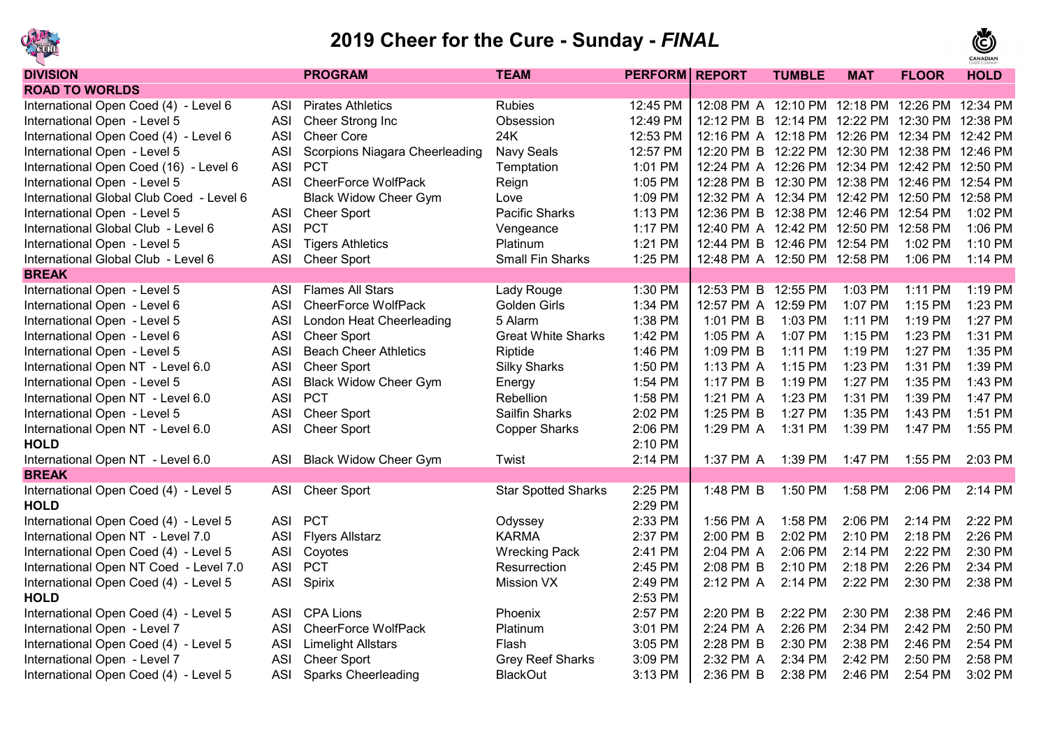

## **2019 Cheer for the Cure - Sunday -** *FINAL*



| <b>DIVISION</b>                                      | <b>PROGRAM</b>                  | <b>TEAM</b>                | <b>PERFORM</b> | <b>REPORT</b>                                  | <b>TUMBLE</b> | <b>MAT</b> | <b>FLOOR</b> | <b>HOLD</b> |
|------------------------------------------------------|---------------------------------|----------------------------|----------------|------------------------------------------------|---------------|------------|--------------|-------------|
| <b>ROAD TO WORLDS</b>                                |                                 |                            |                |                                                |               |            |              |             |
| International Open Coed (4) - Level 6<br><b>ASI</b>  | <b>Pirates Athletics</b>        | <b>Rubies</b>              | 12:45 PM       | 12:08 PM A 12:10 PM 12:18 PM 12:26 PM 12:34 PM |               |            |              |             |
| International Open - Level 5<br><b>ASI</b>           | Cheer Strong Inc                | Obsession                  | 12:49 PM       | 12:12 PM B 12:14 PM 12:22 PM 12:30 PM 12:38 PM |               |            |              |             |
| International Open Coed (4) - Level 6<br><b>ASI</b>  | <b>Cheer Core</b>               | 24K                        | 12:53 PM       | 12:16 PM A 12:18 PM 12:26 PM 12:34 PM 12:42 PM |               |            |              |             |
| International Open - Level 5<br><b>ASI</b>           | Scorpions Niagara Cheerleading  | Navy Seals                 | 12:57 PM       | 12:20 PM B 12:22 PM 12:30 PM 12:38 PM 12:46 PM |               |            |              |             |
| <b>ASI</b><br>International Open Coed (16) - Level 6 | <b>PCT</b>                      | Temptation                 | 1:01 PM        | 12:24 PM A 12:26 PM 12:34 PM 12:42 PM 12:50 PM |               |            |              |             |
| <b>ASI</b><br>International Open - Level 5           | <b>CheerForce WolfPack</b>      | Reign                      | 1:05 PM        | 12:28 PM B 12:30 PM 12:38 PM 12:46 PM 12:54 PM |               |            |              |             |
| International Global Club Coed - Level 6             | <b>Black Widow Cheer Gym</b>    | Love                       | 1:09 PM        | 12:32 PM A 12:34 PM 12:42 PM 12:50 PM 12:58 PM |               |            |              |             |
| International Open - Level 5<br><b>ASI</b>           | <b>Cheer Sport</b>              | <b>Pacific Sharks</b>      | 1:13 PM        | 12:36 PM B 12:38 PM 12:46 PM 12:54 PM          |               |            |              | 1:02 PM     |
| International Global Club - Level 6<br><b>ASI</b>    | <b>PCT</b>                      | Vengeance                  | 1:17 PM        | 12:40 PM A 12:42 PM 12:50 PM 12:58 PM          |               |            |              | 1:06 PM     |
| International Open - Level 5<br><b>ASI</b>           | <b>Tigers Athletics</b>         | Platinum                   | 1:21 PM        | 12:44 PM B 12:46 PM 12:54 PM                   |               |            | 1:02 PM      | 1:10 PM     |
| International Global Club - Level 6<br><b>ASI</b>    | <b>Cheer Sport</b>              | Small Fin Sharks           | 1:25 PM        | 12:48 PM A 12:50 PM 12:58 PM                   |               |            | 1:06 PM      | 1:14 PM     |
| <b>BREAK</b>                                         |                                 |                            |                |                                                |               |            |              |             |
| International Open - Level 5<br><b>ASI</b>           | <b>Flames All Stars</b>         | Lady Rouge                 | 1:30 PM        | 12:53 PM B 12:55 PM                            |               | 1:03 PM    | 1:11 PM      | 1:19 PM     |
| International Open - Level 6<br><b>ASI</b>           | <b>CheerForce WolfPack</b>      | Golden Girls               | 1:34 PM        | 12:57 PM A 12:59 PM                            |               | 1:07 PM    | 1:15 PM      | 1:23 PM     |
| International Open - Level 5<br><b>ASI</b>           | <b>London Heat Cheerleading</b> | 5 Alarm                    | 1:38 PM        | 1:01 PM B                                      | 1:03 PM       | 1:11 PM    | 1:19 PM      | 1:27 PM     |
| International Open - Level 6<br><b>ASI</b>           | <b>Cheer Sport</b>              | <b>Great White Sharks</b>  | 1:42 PM        | 1:05 PM A                                      | 1:07 PM       | 1:15 PM    | 1:23 PM      | 1:31 PM     |
| International Open - Level 5<br><b>ASI</b>           | <b>Beach Cheer Athletics</b>    | Riptide                    | 1:46 PM        | 1:09 PM B                                      | 1:11 PM       | 1:19 PM    | 1:27 PM      | 1:35 PM     |
| International Open NT - Level 6.0<br><b>ASI</b>      | <b>Cheer Sport</b>              | <b>Silky Sharks</b>        | 1:50 PM        | 1:13 PM A                                      | 1:15 PM       | 1:23 PM    | 1:31 PM      | 1:39 PM     |
| International Open - Level 5<br><b>ASI</b>           | <b>Black Widow Cheer Gym</b>    | Energy                     | 1:54 PM        | 1:17 PM B                                      | 1:19 PM       | 1:27 PM    | 1:35 PM      | 1:43 PM     |
| International Open NT - Level 6.0<br><b>ASI</b>      | <b>PCT</b>                      | Rebellion                  | 1:58 PM        | 1:21 PM A                                      | 1:23 PM       | 1:31 PM    | 1:39 PM      | 1:47 PM     |
| International Open - Level 5<br><b>ASI</b>           | <b>Cheer Sport</b>              | <b>Sailfin Sharks</b>      | 2:02 PM        | 1:25 PM B                                      | 1:27 PM       | 1:35 PM    | 1:43 PM      | 1:51 PM     |
| International Open NT - Level 6.0<br><b>ASI</b>      | <b>Cheer Sport</b>              | <b>Copper Sharks</b>       | 2:06 PM        | 1:29 PM A                                      | 1:31 PM       | 1:39 PM    | 1:47 PM      | 1:55 PM     |
| <b>HOLD</b>                                          |                                 |                            | 2:10 PM        |                                                |               |            |              |             |
| International Open NT - Level 6.0<br><b>ASI</b>      | <b>Black Widow Cheer Gym</b>    | Twist                      | 2:14 PM        | 1:37 PM A 1:39 PM                              |               | 1:47 PM    | 1:55 PM      | 2:03 PM     |
| <b>BREAK</b>                                         |                                 |                            |                |                                                |               |            |              |             |
| International Open Coed (4) - Level 5<br><b>ASI</b>  | <b>Cheer Sport</b>              | <b>Star Spotted Sharks</b> | 2:25 PM        | $1:48$ PM B                                    | 1:50 PM       | 1:58 PM    | $2:06$ PM    | 2:14 PM     |
| <b>HOLD</b>                                          |                                 |                            | 2:29 PM        |                                                |               |            |              |             |
| International Open Coed (4) - Level 5<br><b>ASI</b>  | <b>PCT</b>                      | Odyssey                    | 2:33 PM        | 1:56 PM A                                      | 1:58 PM       | 2:06 PM    | 2:14 PM      | 2:22 PM     |
| International Open NT - Level 7.0<br><b>ASI</b>      | <b>Flyers Allstarz</b>          | <b>KARMA</b>               | 2:37 PM        | 2:00 PM B                                      | 2:02 PM       | 2:10 PM    | 2:18 PM      | 2:26 PM     |
| International Open Coed (4) - Level 5<br><b>ASI</b>  | Coyotes                         | <b>Wrecking Pack</b>       | 2:41 PM        | 2:04 PM A                                      | 2:06 PM       | 2:14 PM    | 2:22 PM      | 2:30 PM     |
| <b>ASI</b><br>International Open NT Coed - Level 7.0 | <b>PCT</b>                      | Resurrection               | 2:45 PM        | 2:08 PM B                                      | 2:10 PM       | 2:18 PM    | 2:26 PM      | 2:34 PM     |
| International Open Coed (4) - Level 5<br><b>ASI</b>  | Spirix                          | <b>Mission VX</b>          | 2:49 PM        | 2:12 PM A                                      | 2:14 PM       | 2:22 PM    | 2:30 PM      | 2:38 PM     |
| <b>HOLD</b>                                          |                                 |                            | 2:53 PM        |                                                |               |            |              |             |
| International Open Coed (4) - Level 5<br><b>ASI</b>  | <b>CPA Lions</b>                | Phoenix                    | 2:57 PM        | 2:20 PM B                                      | 2:22 PM       | 2:30 PM    | 2:38 PM      | 2:46 PM     |
| International Open - Level 7<br><b>ASI</b>           | <b>CheerForce WolfPack</b>      | Platinum                   | 3:01 PM        | 2:24 PM A                                      | 2:26 PM       | 2:34 PM    | 2:42 PM      | 2:50 PM     |
| International Open Coed (4) - Level 5<br><b>ASI</b>  | <b>Limelight Allstars</b>       | Flash                      | 3:05 PM        | 2:28 PM B                                      | 2:30 PM       | 2:38 PM    | 2:46 PM      | 2:54 PM     |
| International Open - Level 7<br><b>ASI</b>           | <b>Cheer Sport</b>              | <b>Grey Reef Sharks</b>    | 3:09 PM        | 2:32 PM A                                      | 2:34 PM       | 2:42 PM    | 2:50 PM      | 2:58 PM     |
| International Open Coed (4) - Level 5<br><b>ASI</b>  | <b>Sparks Cheerleading</b>      | <b>BlackOut</b>            | 3:13 PM        | 2:36 PM B                                      | 2:38 PM       | 2:46 PM    | 2:54 PM      | 3:02 PM     |